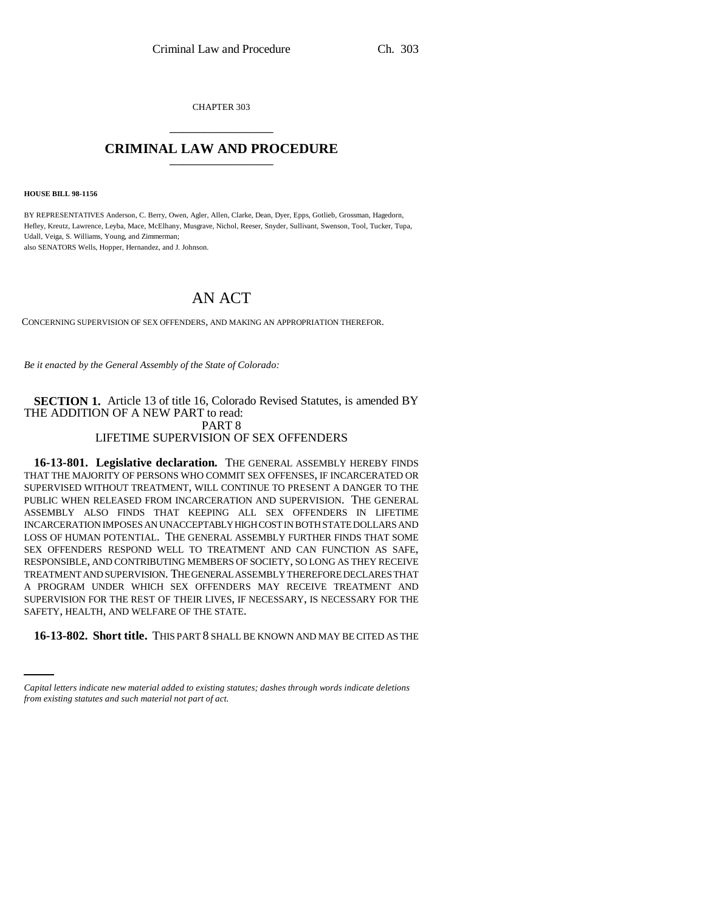CHAPTER 303 \_\_\_\_\_\_\_\_\_\_\_\_\_\_\_

## **CRIMINAL LAW AND PROCEDURE** \_\_\_\_\_\_\_\_\_\_\_\_\_\_\_

**HOUSE BILL 98-1156**

BY REPRESENTATIVES Anderson, C. Berry, Owen, Agler, Allen, Clarke, Dean, Dyer, Epps, Gotlieb, Grossman, Hagedorn, Hefley, Kreutz, Lawrence, Leyba, Mace, McElhany, Musgrave, Nichol, Reeser, Snyder, Sullivant, Swenson, Tool, Tucker, Tupa, Udall, Veiga, S. Williams, Young, and Zimmerman; also SENATORS Wells, Hopper, Hernandez, and J. Johnson.

# AN ACT

CONCERNING SUPERVISION OF SEX OFFENDERS, AND MAKING AN APPROPRIATION THEREFOR.

*Be it enacted by the General Assembly of the State of Colorado:*

#### **SECTION 1.** Article 13 of title 16, Colorado Revised Statutes, is amended BY THE ADDITION OF A NEW PART to read: PART 8 LIFETIME SUPERVISION OF SEX OFFENDERS

SAFETY, HEALTH, AND WELFARE OF THE STATE. **16-13-801. Legislative declaration.** THE GENERAL ASSEMBLY HEREBY FINDS THAT THE MAJORITY OF PERSONS WHO COMMIT SEX OFFENSES, IF INCARCERATED OR SUPERVISED WITHOUT TREATMENT, WILL CONTINUE TO PRESENT A DANGER TO THE PUBLIC WHEN RELEASED FROM INCARCERATION AND SUPERVISION. THE GENERAL ASSEMBLY ALSO FINDS THAT KEEPING ALL SEX OFFENDERS IN LIFETIME INCARCERATION IMPOSES AN UNACCEPTABLY HIGH COST IN BOTH STATE DOLLARS AND LOSS OF HUMAN POTENTIAL. THE GENERAL ASSEMBLY FURTHER FINDS THAT SOME SEX OFFENDERS RESPOND WELL TO TREATMENT AND CAN FUNCTION AS SAFE, RESPONSIBLE, AND CONTRIBUTING MEMBERS OF SOCIETY, SO LONG AS THEY RECEIVE TREATMENT AND SUPERVISION. THE GENERAL ASSEMBLY THEREFORE DECLARES THAT A PROGRAM UNDER WHICH SEX OFFENDERS MAY RECEIVE TREATMENT AND SUPERVISION FOR THE REST OF THEIR LIVES, IF NECESSARY, IS NECESSARY FOR THE

**16-13-802. Short title.** THIS PART 8 SHALL BE KNOWN AND MAY BE CITED AS THE

*Capital letters indicate new material added to existing statutes; dashes through words indicate deletions from existing statutes and such material not part of act.*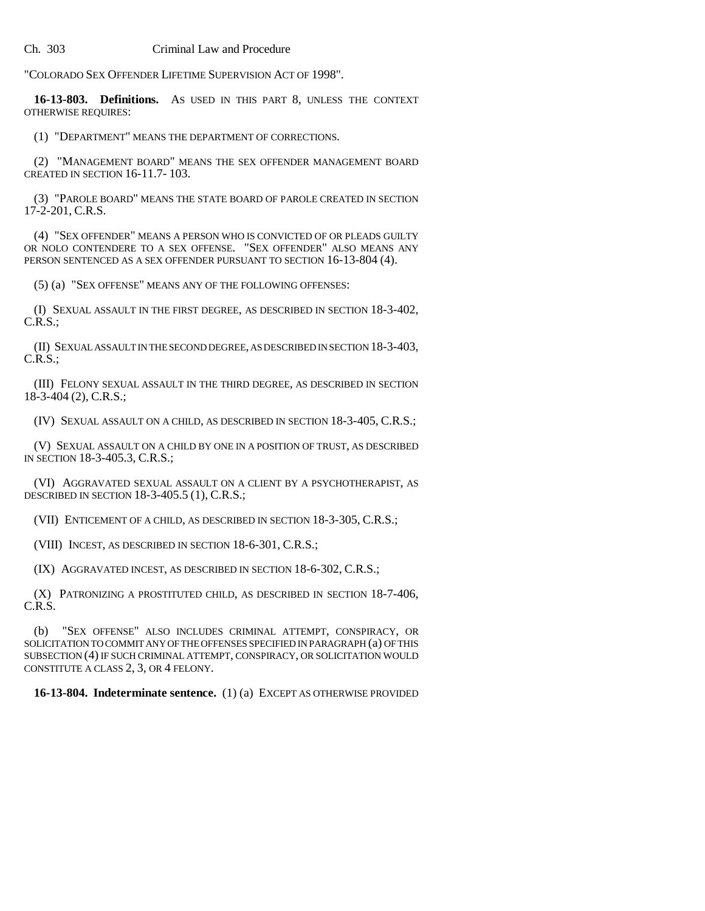"COLORADO SEX OFFENDER LIFETIME SUPERVISION ACT OF 1998".

**16-13-803. Definitions.** AS USED IN THIS PART 8, UNLESS THE CONTEXT OTHERWISE REQUIRES:

(1) "DEPARTMENT" MEANS THE DEPARTMENT OF CORRECTIONS.

(2) "MANAGEMENT BOARD" MEANS THE SEX OFFENDER MANAGEMENT BOARD CREATED IN SECTION 16-11.7- 103.

(3) "PAROLE BOARD" MEANS THE STATE BOARD OF PAROLE CREATED IN SECTION 17-2-201, C.R.S.

(4) "SEX OFFENDER" MEANS A PERSON WHO IS CONVICTED OF OR PLEADS GUILTY OR NOLO CONTENDERE TO A SEX OFFENSE. "SEX OFFENDER" ALSO MEANS ANY PERSON SENTENCED AS A SEX OFFENDER PURSUANT TO SECTION 16-13-804 (4).

(5) (a) "SEX OFFENSE" MEANS ANY OF THE FOLLOWING OFFENSES:

(I) SEXUAL ASSAULT IN THE FIRST DEGREE, AS DESCRIBED IN SECTION 18-3-402, C.R.S.;

(II) SEXUAL ASSAULT IN THE SECOND DEGREE, AS DESCRIBED IN SECTION 18-3-403, C.R.S.;

(III) FELONY SEXUAL ASSAULT IN THE THIRD DEGREE, AS DESCRIBED IN SECTION 18-3-404 (2), C.R.S.;

(IV) SEXUAL ASSAULT ON A CHILD, AS DESCRIBED IN SECTION 18-3-405, C.R.S.;

(V) SEXUAL ASSAULT ON A CHILD BY ONE IN A POSITION OF TRUST, AS DESCRIBED IN SECTION 18-3-405.3, C.R.S.;

(VI) AGGRAVATED SEXUAL ASSAULT ON A CLIENT BY A PSYCHOTHERAPIST, AS DESCRIBED IN SECTION 18-3-405.5 (1), C.R.S.;

(VII) ENTICEMENT OF A CHILD, AS DESCRIBED IN SECTION 18-3-305, C.R.S.;

(VIII) INCEST, AS DESCRIBED IN SECTION 18-6-301, C.R.S.;

(IX) AGGRAVATED INCEST, AS DESCRIBED IN SECTION 18-6-302, C.R.S.;

(X) PATRONIZING A PROSTITUTED CHILD, AS DESCRIBED IN SECTION 18-7-406, C.R.S.

(b) "SEX OFFENSE" ALSO INCLUDES CRIMINAL ATTEMPT, CONSPIRACY, OR SOLICITATION TO COMMIT ANY OF THE OFFENSES SPECIFIED IN PARAGRAPH (a) OF THIS SUBSECTION (4) IF SUCH CRIMINAL ATTEMPT, CONSPIRACY, OR SOLICITATION WOULD CONSTITUTE A CLASS 2, 3, OR 4 FELONY.

**16-13-804. Indeterminate sentence.** (1) (a) EXCEPT AS OTHERWISE PROVIDED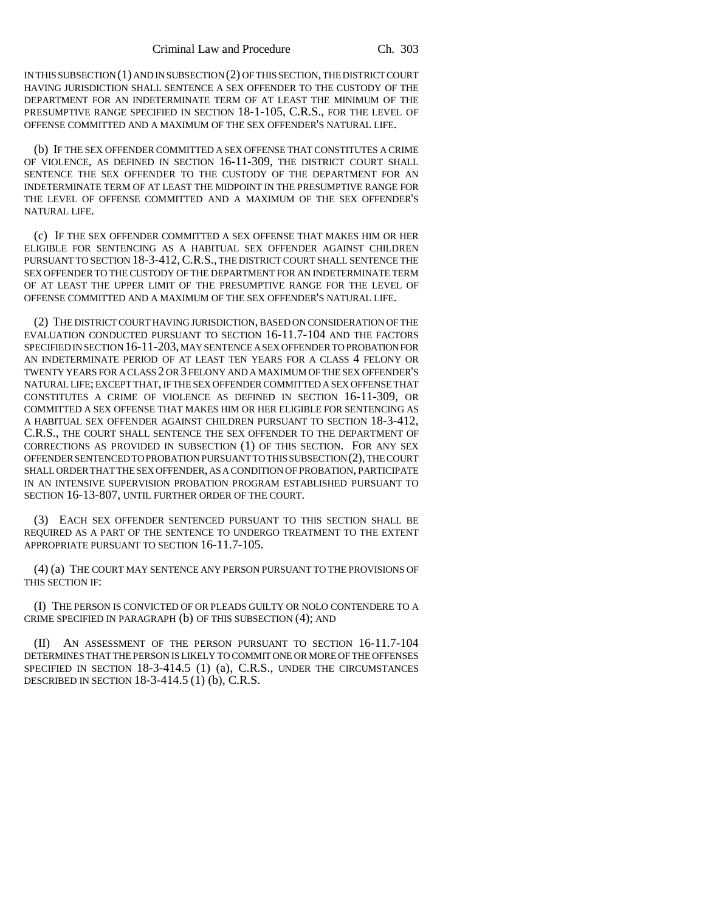IN THIS SUBSECTION (1) AND IN SUBSECTION (2) OF THIS SECTION, THE DISTRICT COURT HAVING JURISDICTION SHALL SENTENCE A SEX OFFENDER TO THE CUSTODY OF THE DEPARTMENT FOR AN INDETERMINATE TERM OF AT LEAST THE MINIMUM OF THE PRESUMPTIVE RANGE SPECIFIED IN SECTION 18-1-105, C.R.S., FOR THE LEVEL OF OFFENSE COMMITTED AND A MAXIMUM OF THE SEX OFFENDER'S NATURAL LIFE.

(b) IF THE SEX OFFENDER COMMITTED A SEX OFFENSE THAT CONSTITUTES A CRIME OF VIOLENCE, AS DEFINED IN SECTION 16-11-309, THE DISTRICT COURT SHALL SENTENCE THE SEX OFFENDER TO THE CUSTODY OF THE DEPARTMENT FOR AN INDETERMINATE TERM OF AT LEAST THE MIDPOINT IN THE PRESUMPTIVE RANGE FOR THE LEVEL OF OFFENSE COMMITTED AND A MAXIMUM OF THE SEX OFFENDER'S NATURAL LIFE.

(c) IF THE SEX OFFENDER COMMITTED A SEX OFFENSE THAT MAKES HIM OR HER ELIGIBLE FOR SENTENCING AS A HABITUAL SEX OFFENDER AGAINST CHILDREN PURSUANT TO SECTION 18-3-412,C.R.S., THE DISTRICT COURT SHALL SENTENCE THE SEX OFFENDER TO THE CUSTODY OF THE DEPARTMENT FOR AN INDETERMINATE TERM OF AT LEAST THE UPPER LIMIT OF THE PRESUMPTIVE RANGE FOR THE LEVEL OF OFFENSE COMMITTED AND A MAXIMUM OF THE SEX OFFENDER'S NATURAL LIFE.

(2) THE DISTRICT COURT HAVING JURISDICTION, BASED ON CONSIDERATION OF THE EVALUATION CONDUCTED PURSUANT TO SECTION 16-11.7-104 AND THE FACTORS SPECIFIED IN SECTION 16-11-203, MAY SENTENCE A SEX OFFENDER TO PROBATION FOR AN INDETERMINATE PERIOD OF AT LEAST TEN YEARS FOR A CLASS 4 FELONY OR TWENTY YEARS FOR A CLASS 2 OR 3 FELONY AND A MAXIMUM OF THE SEX OFFENDER'S NATURAL LIFE; EXCEPT THAT, IF THE SEX OFFENDER COMMITTED A SEX OFFENSE THAT CONSTITUTES A CRIME OF VIOLENCE AS DEFINED IN SECTION 16-11-309, OR COMMITTED A SEX OFFENSE THAT MAKES HIM OR HER ELIGIBLE FOR SENTENCING AS A HABITUAL SEX OFFENDER AGAINST CHILDREN PURSUANT TO SECTION 18-3-412, C.R.S., THE COURT SHALL SENTENCE THE SEX OFFENDER TO THE DEPARTMENT OF CORRECTIONS AS PROVIDED IN SUBSECTION (1) OF THIS SECTION. FOR ANY SEX OFFENDER SENTENCED TO PROBATION PURSUANT TO THIS SUBSECTION (2), THE COURT SHALL ORDER THAT THE SEX OFFENDER, AS A CONDITION OF PROBATION, PARTICIPATE IN AN INTENSIVE SUPERVISION PROBATION PROGRAM ESTABLISHED PURSUANT TO SECTION 16-13-807, UNTIL FURTHER ORDER OF THE COURT.

(3) EACH SEX OFFENDER SENTENCED PURSUANT TO THIS SECTION SHALL BE REQUIRED AS A PART OF THE SENTENCE TO UNDERGO TREATMENT TO THE EXTENT APPROPRIATE PURSUANT TO SECTION 16-11.7-105.

(4) (a) THE COURT MAY SENTENCE ANY PERSON PURSUANT TO THE PROVISIONS OF THIS SECTION IF:

(I) THE PERSON IS CONVICTED OF OR PLEADS GUILTY OR NOLO CONTENDERE TO A CRIME SPECIFIED IN PARAGRAPH (b) OF THIS SUBSECTION (4); AND

(II) AN ASSESSMENT OF THE PERSON PURSUANT TO SECTION 16-11.7-104 DETERMINES THAT THE PERSON IS LIKELY TO COMMIT ONE OR MORE OF THE OFFENSES SPECIFIED IN SECTION 18-3-414.5 (1) (a), C.R.S., UNDER THE CIRCUMSTANCES DESCRIBED IN SECTION 18-3-414.5 (1) (b), C.R.S.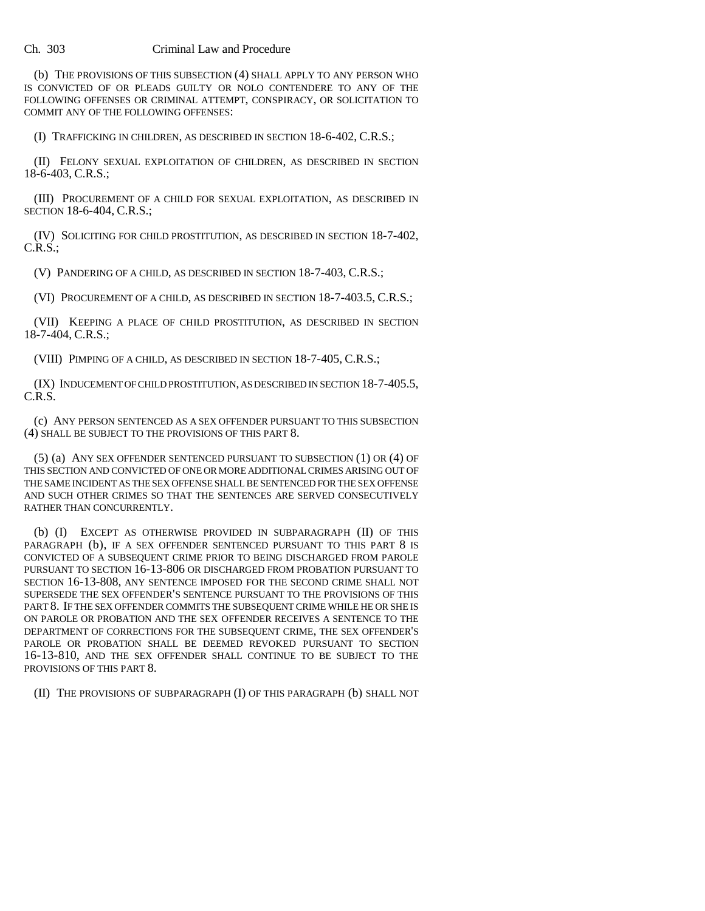(b) THE PROVISIONS OF THIS SUBSECTION (4) SHALL APPLY TO ANY PERSON WHO IS CONVICTED OF OR PLEADS GUILTY OR NOLO CONTENDERE TO ANY OF THE FOLLOWING OFFENSES OR CRIMINAL ATTEMPT, CONSPIRACY, OR SOLICITATION TO COMMIT ANY OF THE FOLLOWING OFFENSES:

(I) TRAFFICKING IN CHILDREN, AS DESCRIBED IN SECTION 18-6-402, C.R.S.;

(II) FELONY SEXUAL EXPLOITATION OF CHILDREN, AS DESCRIBED IN SECTION 18-6-403, C.R.S.;

(III) PROCUREMENT OF A CHILD FOR SEXUAL EXPLOITATION, AS DESCRIBED IN SECTION 18-6-404, C.R.S.;

(IV) SOLICITING FOR CHILD PROSTITUTION, AS DESCRIBED IN SECTION 18-7-402,  $C.R.S.$ ;

(V) PANDERING OF A CHILD, AS DESCRIBED IN SECTION 18-7-403, C.R.S.;

(VI) PROCUREMENT OF A CHILD, AS DESCRIBED IN SECTION 18-7-403.5, C.R.S.;

(VII) KEEPING A PLACE OF CHILD PROSTITUTION, AS DESCRIBED IN SECTION 18-7-404, C.R.S.;

(VIII) PIMPING OF A CHILD, AS DESCRIBED IN SECTION 18-7-405, C.R.S.;

(IX) INDUCEMENT OF CHILD PROSTITUTION, AS DESCRIBED IN SECTION 18-7-405.5, C.R.S.

(c) ANY PERSON SENTENCED AS A SEX OFFENDER PURSUANT TO THIS SUBSECTION (4) SHALL BE SUBJECT TO THE PROVISIONS OF THIS PART 8.

(5) (a) ANY SEX OFFENDER SENTENCED PURSUANT TO SUBSECTION (1) OR (4) OF THIS SECTION AND CONVICTED OF ONE OR MORE ADDITIONAL CRIMES ARISING OUT OF THE SAME INCIDENT AS THE SEX OFFENSE SHALL BE SENTENCED FOR THE SEX OFFENSE AND SUCH OTHER CRIMES SO THAT THE SENTENCES ARE SERVED CONSECUTIVELY RATHER THAN CONCURRENTLY.

(b) (I) EXCEPT AS OTHERWISE PROVIDED IN SUBPARAGRAPH (II) OF THIS PARAGRAPH (b), IF A SEX OFFENDER SENTENCED PURSUANT TO THIS PART 8 IS CONVICTED OF A SUBSEQUENT CRIME PRIOR TO BEING DISCHARGED FROM PAROLE PURSUANT TO SECTION 16-13-806 OR DISCHARGED FROM PROBATION PURSUANT TO SECTION 16-13-808, ANY SENTENCE IMPOSED FOR THE SECOND CRIME SHALL NOT SUPERSEDE THE SEX OFFENDER'S SENTENCE PURSUANT TO THE PROVISIONS OF THIS PART 8. IF THE SEX OFFENDER COMMITS THE SUBSEQUENT CRIME WHILE HE OR SHE IS ON PAROLE OR PROBATION AND THE SEX OFFENDER RECEIVES A SENTENCE TO THE DEPARTMENT OF CORRECTIONS FOR THE SUBSEQUENT CRIME, THE SEX OFFENDER'S PAROLE OR PROBATION SHALL BE DEEMED REVOKED PURSUANT TO SECTION 16-13-810, AND THE SEX OFFENDER SHALL CONTINUE TO BE SUBJECT TO THE PROVISIONS OF THIS PART 8.

(II) THE PROVISIONS OF SUBPARAGRAPH (I) OF THIS PARAGRAPH (b) SHALL NOT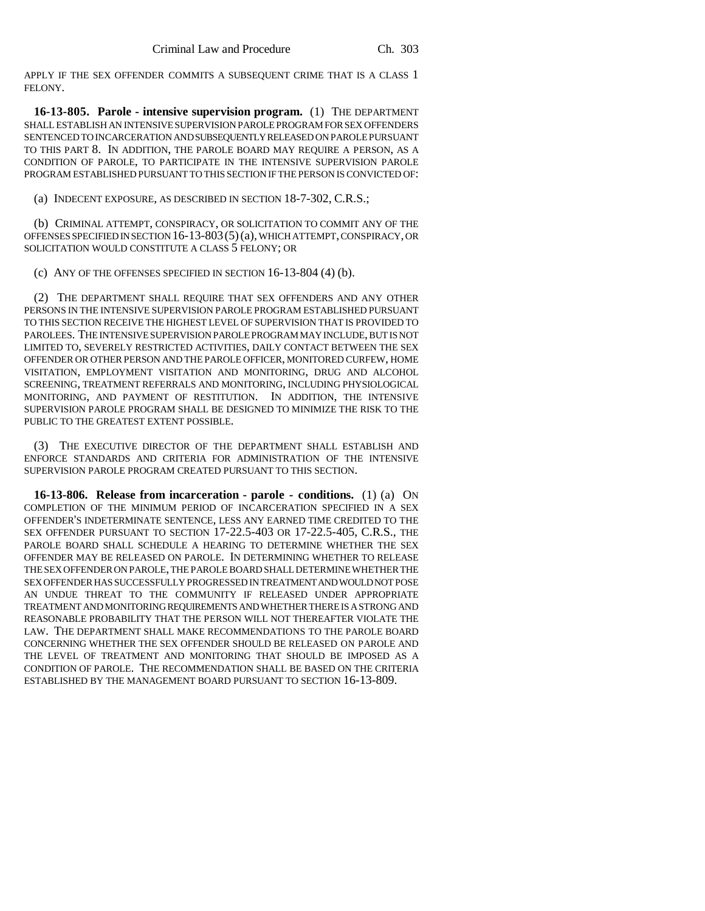APPLY IF THE SEX OFFENDER COMMITS A SUBSEQUENT CRIME THAT IS A CLASS 1 FELONY.

**16-13-805. Parole - intensive supervision program.** (1) THE DEPARTMENT SHALL ESTABLISH AN INTENSIVE SUPERVISION PAROLE PROGRAM FOR SEX OFFENDERS SENTENCED TO INCARCERATION AND SUBSEQUENTLY RELEASED ON PAROLE PURSUANT TO THIS PART 8. IN ADDITION, THE PAROLE BOARD MAY REQUIRE A PERSON, AS A CONDITION OF PAROLE, TO PARTICIPATE IN THE INTENSIVE SUPERVISION PAROLE PROGRAM ESTABLISHED PURSUANT TO THIS SECTION IF THE PERSON IS CONVICTED OF:

(a) INDECENT EXPOSURE, AS DESCRIBED IN SECTION 18-7-302, C.R.S.;

(b) CRIMINAL ATTEMPT, CONSPIRACY, OR SOLICITATION TO COMMIT ANY OF THE OFFENSES SPECIFIED IN SECTION 16-13-803(5)(a), WHICH ATTEMPT, CONSPIRACY, OR SOLICITATION WOULD CONSTITUTE A CLASS 5 FELONY; OR

(c) ANY OF THE OFFENSES SPECIFIED IN SECTION 16-13-804 (4) (b).

(2) THE DEPARTMENT SHALL REQUIRE THAT SEX OFFENDERS AND ANY OTHER PERSONS IN THE INTENSIVE SUPERVISION PAROLE PROGRAM ESTABLISHED PURSUANT TO THIS SECTION RECEIVE THE HIGHEST LEVEL OF SUPERVISION THAT IS PROVIDED TO PAROLEES. THE INTENSIVE SUPERVISION PAROLE PROGRAM MAY INCLUDE, BUT IS NOT LIMITED TO, SEVERELY RESTRICTED ACTIVITIES, DAILY CONTACT BETWEEN THE SEX OFFENDER OR OTHER PERSON AND THE PAROLE OFFICER, MONITORED CURFEW, HOME VISITATION, EMPLOYMENT VISITATION AND MONITORING, DRUG AND ALCOHOL SCREENING, TREATMENT REFERRALS AND MONITORING, INCLUDING PHYSIOLOGICAL MONITORING, AND PAYMENT OF RESTITUTION. IN ADDITION, THE INTENSIVE SUPERVISION PAROLE PROGRAM SHALL BE DESIGNED TO MINIMIZE THE RISK TO THE PUBLIC TO THE GREATEST EXTENT POSSIBLE.

(3) THE EXECUTIVE DIRECTOR OF THE DEPARTMENT SHALL ESTABLISH AND ENFORCE STANDARDS AND CRITERIA FOR ADMINISTRATION OF THE INTENSIVE SUPERVISION PAROLE PROGRAM CREATED PURSUANT TO THIS SECTION.

**16-13-806. Release from incarceration - parole - conditions.** (1) (a) ON COMPLETION OF THE MINIMUM PERIOD OF INCARCERATION SPECIFIED IN A SEX OFFENDER'S INDETERMINATE SENTENCE, LESS ANY EARNED TIME CREDITED TO THE SEX OFFENDER PURSUANT TO SECTION 17-22.5-403 OR 17-22.5-405, C.R.S., THE PAROLE BOARD SHALL SCHEDULE A HEARING TO DETERMINE WHETHER THE SEX OFFENDER MAY BE RELEASED ON PAROLE. IN DETERMINING WHETHER TO RELEASE THE SEX OFFENDER ON PAROLE, THE PAROLE BOARD SHALL DETERMINE WHETHER THE SEX OFFENDER HAS SUCCESSFULLY PROGRESSED IN TREATMENT AND WOULD NOT POSE AN UNDUE THREAT TO THE COMMUNITY IF RELEASED UNDER APPROPRIATE TREATMENT AND MONITORING REQUIREMENTS AND WHETHER THERE IS A STRONG AND REASONABLE PROBABILITY THAT THE PERSON WILL NOT THEREAFTER VIOLATE THE LAW. THE DEPARTMENT SHALL MAKE RECOMMENDATIONS TO THE PAROLE BOARD CONCERNING WHETHER THE SEX OFFENDER SHOULD BE RELEASED ON PAROLE AND THE LEVEL OF TREATMENT AND MONITORING THAT SHOULD BE IMPOSED AS A CONDITION OF PAROLE. THE RECOMMENDATION SHALL BE BASED ON THE CRITERIA ESTABLISHED BY THE MANAGEMENT BOARD PURSUANT TO SECTION 16-13-809.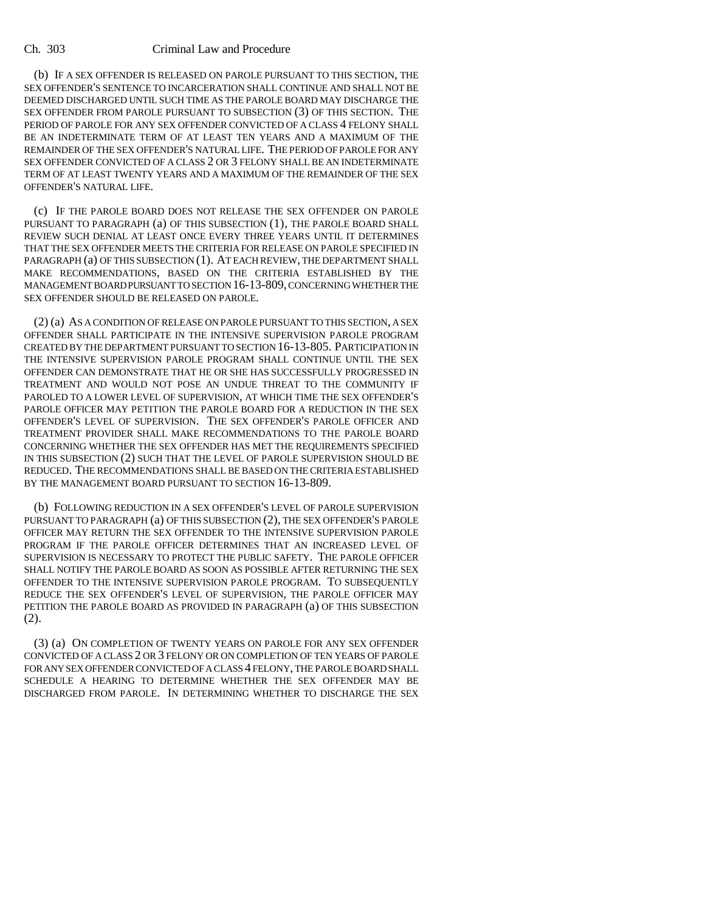(b) IF A SEX OFFENDER IS RELEASED ON PAROLE PURSUANT TO THIS SECTION, THE SEX OFFENDER'S SENTENCE TO INCARCERATION SHALL CONTINUE AND SHALL NOT BE DEEMED DISCHARGED UNTIL SUCH TIME AS THE PAROLE BOARD MAY DISCHARGE THE SEX OFFENDER FROM PAROLE PURSUANT TO SUBSECTION (3) OF THIS SECTION. THE PERIOD OF PAROLE FOR ANY SEX OFFENDER CONVICTED OF A CLASS 4 FELONY SHALL BE AN INDETERMINATE TERM OF AT LEAST TEN YEARS AND A MAXIMUM OF THE REMAINDER OF THE SEX OFFENDER'S NATURAL LIFE. THE PERIOD OF PAROLE FOR ANY SEX OFFENDER CONVICTED OF A CLASS 2 OR 3 FELONY SHALL BE AN INDETERMINATE TERM OF AT LEAST TWENTY YEARS AND A MAXIMUM OF THE REMAINDER OF THE SEX OFFENDER'S NATURAL LIFE.

(c) IF THE PAROLE BOARD DOES NOT RELEASE THE SEX OFFENDER ON PAROLE PURSUANT TO PARAGRAPH (a) OF THIS SUBSECTION (1), THE PAROLE BOARD SHALL REVIEW SUCH DENIAL AT LEAST ONCE EVERY THREE YEARS UNTIL IT DETERMINES THAT THE SEX OFFENDER MEETS THE CRITERIA FOR RELEASE ON PAROLE SPECIFIED IN PARAGRAPH (a) OF THIS SUBSECTION (1). AT EACH REVIEW, THE DEPARTMENT SHALL MAKE RECOMMENDATIONS, BASED ON THE CRITERIA ESTABLISHED BY THE MANAGEMENT BOARD PURSUANT TO SECTION 16-13-809, CONCERNING WHETHER THE SEX OFFENDER SHOULD BE RELEASED ON PAROLE.

(2) (a) AS A CONDITION OF RELEASE ON PAROLE PURSUANT TO THIS SECTION, A SEX OFFENDER SHALL PARTICIPATE IN THE INTENSIVE SUPERVISION PAROLE PROGRAM CREATED BY THE DEPARTMENT PURSUANT TO SECTION 16-13-805. PARTICIPATION IN THE INTENSIVE SUPERVISION PAROLE PROGRAM SHALL CONTINUE UNTIL THE SEX OFFENDER CAN DEMONSTRATE THAT HE OR SHE HAS SUCCESSFULLY PROGRESSED IN TREATMENT AND WOULD NOT POSE AN UNDUE THREAT TO THE COMMUNITY IF PAROLED TO A LOWER LEVEL OF SUPERVISION, AT WHICH TIME THE SEX OFFENDER'S PAROLE OFFICER MAY PETITION THE PAROLE BOARD FOR A REDUCTION IN THE SEX OFFENDER'S LEVEL OF SUPERVISION. THE SEX OFFENDER'S PAROLE OFFICER AND TREATMENT PROVIDER SHALL MAKE RECOMMENDATIONS TO THE PAROLE BOARD CONCERNING WHETHER THE SEX OFFENDER HAS MET THE REQUIREMENTS SPECIFIED IN THIS SUBSECTION (2) SUCH THAT THE LEVEL OF PAROLE SUPERVISION SHOULD BE REDUCED. THE RECOMMENDATIONS SHALL BE BASED ON THE CRITERIA ESTABLISHED BY THE MANAGEMENT BOARD PURSUANT TO SECTION 16-13-809.

(b) FOLLOWING REDUCTION IN A SEX OFFENDER'S LEVEL OF PAROLE SUPERVISION PURSUANT TO PARAGRAPH (a) OF THIS SUBSECTION (2), THE SEX OFFENDER'S PAROLE OFFICER MAY RETURN THE SEX OFFENDER TO THE INTENSIVE SUPERVISION PAROLE PROGRAM IF THE PAROLE OFFICER DETERMINES THAT AN INCREASED LEVEL OF SUPERVISION IS NECESSARY TO PROTECT THE PUBLIC SAFETY. THE PAROLE OFFICER SHALL NOTIFY THE PAROLE BOARD AS SOON AS POSSIBLE AFTER RETURNING THE SEX OFFENDER TO THE INTENSIVE SUPERVISION PAROLE PROGRAM. TO SUBSEQUENTLY REDUCE THE SEX OFFENDER'S LEVEL OF SUPERVISION, THE PAROLE OFFICER MAY PETITION THE PAROLE BOARD AS PROVIDED IN PARAGRAPH (a) OF THIS SUBSECTION (2).

(3) (a) ON COMPLETION OF TWENTY YEARS ON PAROLE FOR ANY SEX OFFENDER CONVICTED OF A CLASS 2 OR 3 FELONY OR ON COMPLETION OF TEN YEARS OF PAROLE FOR ANY SEX OFFENDER CONVICTED OF A CLASS 4 FELONY, THE PAROLE BOARD SHALL SCHEDULE A HEARING TO DETERMINE WHETHER THE SEX OFFENDER MAY BE DISCHARGED FROM PAROLE. IN DETERMINING WHETHER TO DISCHARGE THE SEX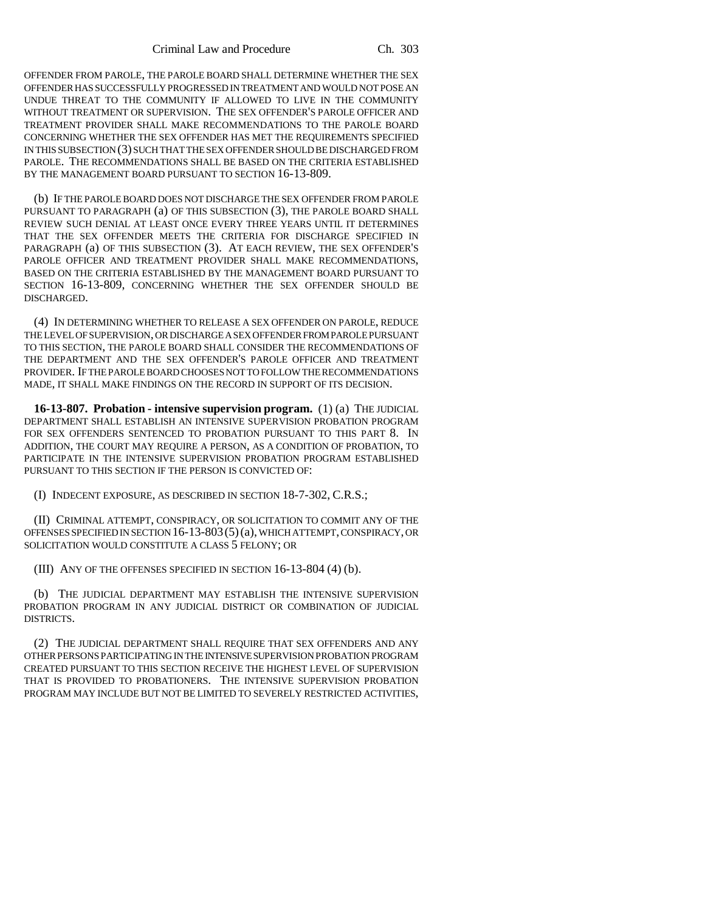OFFENDER FROM PAROLE, THE PAROLE BOARD SHALL DETERMINE WHETHER THE SEX OFFENDER HAS SUCCESSFULLY PROGRESSED IN TREATMENT AND WOULD NOT POSE AN UNDUE THREAT TO THE COMMUNITY IF ALLOWED TO LIVE IN THE COMMUNITY WITHOUT TREATMENT OR SUPERVISION. THE SEX OFFENDER'S PAROLE OFFICER AND TREATMENT PROVIDER SHALL MAKE RECOMMENDATIONS TO THE PAROLE BOARD CONCERNING WHETHER THE SEX OFFENDER HAS MET THE REQUIREMENTS SPECIFIED IN THIS SUBSECTION (3) SUCH THAT THE SEX OFFENDER SHOULD BE DISCHARGED FROM PAROLE. THE RECOMMENDATIONS SHALL BE BASED ON THE CRITERIA ESTABLISHED BY THE MANAGEMENT BOARD PURSUANT TO SECTION 16-13-809.

(b) IF THE PAROLE BOARD DOES NOT DISCHARGE THE SEX OFFENDER FROM PAROLE PURSUANT TO PARAGRAPH (a) OF THIS SUBSECTION (3), THE PAROLE BOARD SHALL REVIEW SUCH DENIAL AT LEAST ONCE EVERY THREE YEARS UNTIL IT DETERMINES THAT THE SEX OFFENDER MEETS THE CRITERIA FOR DISCHARGE SPECIFIED IN PARAGRAPH (a) OF THIS SUBSECTION (3). AT EACH REVIEW, THE SEX OFFENDER'S PAROLE OFFICER AND TREATMENT PROVIDER SHALL MAKE RECOMMENDATIONS, BASED ON THE CRITERIA ESTABLISHED BY THE MANAGEMENT BOARD PURSUANT TO SECTION 16-13-809, CONCERNING WHETHER THE SEX OFFENDER SHOULD BE DISCHARGED.

(4) IN DETERMINING WHETHER TO RELEASE A SEX OFFENDER ON PAROLE, REDUCE THE LEVEL OF SUPERVISION, OR DISCHARGE A SEX OFFENDER FROM PAROLE PURSUANT TO THIS SECTION, THE PAROLE BOARD SHALL CONSIDER THE RECOMMENDATIONS OF THE DEPARTMENT AND THE SEX OFFENDER'S PAROLE OFFICER AND TREATMENT PROVIDER. IF THE PAROLE BOARD CHOOSES NOT TO FOLLOW THE RECOMMENDATIONS MADE, IT SHALL MAKE FINDINGS ON THE RECORD IN SUPPORT OF ITS DECISION.

**16-13-807. Probation - intensive supervision program.** (1) (a) THE JUDICIAL DEPARTMENT SHALL ESTABLISH AN INTENSIVE SUPERVISION PROBATION PROGRAM FOR SEX OFFENDERS SENTENCED TO PROBATION PURSUANT TO THIS PART 8. IN ADDITION, THE COURT MAY REQUIRE A PERSON, AS A CONDITION OF PROBATION, TO PARTICIPATE IN THE INTENSIVE SUPERVISION PROBATION PROGRAM ESTABLISHED PURSUANT TO THIS SECTION IF THE PERSON IS CONVICTED OF:

(I) INDECENT EXPOSURE, AS DESCRIBED IN SECTION 18-7-302, C.R.S.;

(II) CRIMINAL ATTEMPT, CONSPIRACY, OR SOLICITATION TO COMMIT ANY OF THE OFFENSES SPECIFIED IN SECTION 16-13-803(5)(a), WHICH ATTEMPT, CONSPIRACY, OR SOLICITATION WOULD CONSTITUTE A CLASS 5 FELONY; OR

(III) ANY OF THE OFFENSES SPECIFIED IN SECTION 16-13-804 (4) (b).

(b) THE JUDICIAL DEPARTMENT MAY ESTABLISH THE INTENSIVE SUPERVISION PROBATION PROGRAM IN ANY JUDICIAL DISTRICT OR COMBINATION OF JUDICIAL DISTRICTS.

(2) THE JUDICIAL DEPARTMENT SHALL REQUIRE THAT SEX OFFENDERS AND ANY OTHER PERSONS PARTICIPATING IN THE INTENSIVE SUPERVISION PROBATION PROGRAM CREATED PURSUANT TO THIS SECTION RECEIVE THE HIGHEST LEVEL OF SUPERVISION THAT IS PROVIDED TO PROBATIONERS. THE INTENSIVE SUPERVISION PROBATION PROGRAM MAY INCLUDE BUT NOT BE LIMITED TO SEVERELY RESTRICTED ACTIVITIES,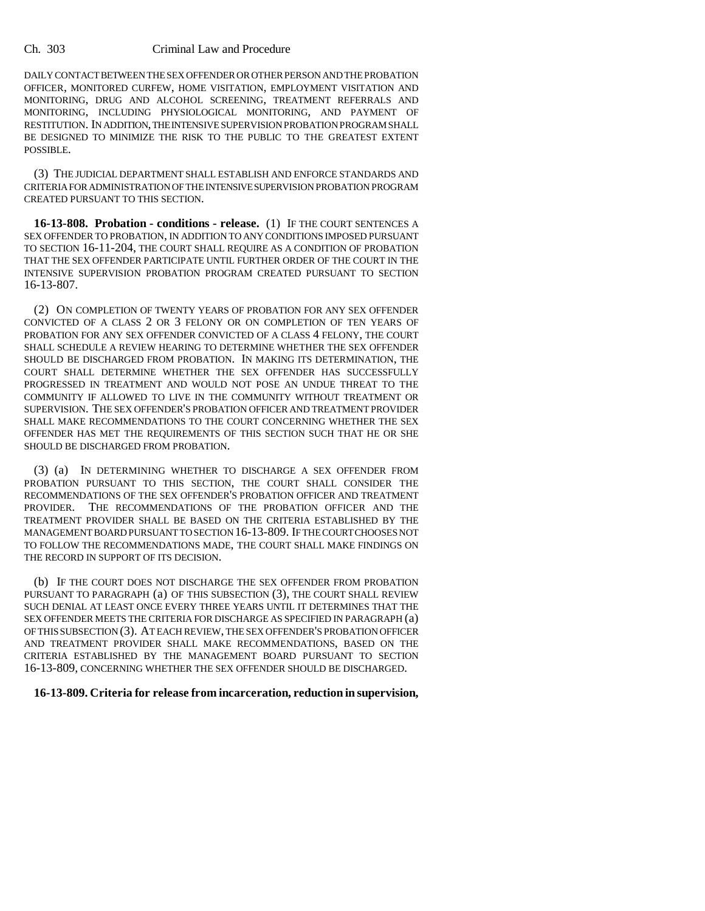DAILY CONTACT BETWEEN THE SEX OFFENDER OR OTHER PERSON AND THE PROBATION OFFICER, MONITORED CURFEW, HOME VISITATION, EMPLOYMENT VISITATION AND MONITORING, DRUG AND ALCOHOL SCREENING, TREATMENT REFERRALS AND MONITORING, INCLUDING PHYSIOLOGICAL MONITORING, AND PAYMENT OF RESTITUTION. IN ADDITION, THE INTENSIVE SUPERVISION PROBATION PROGRAM SHALL BE DESIGNED TO MINIMIZE THE RISK TO THE PUBLIC TO THE GREATEST EXTENT POSSIBLE.

(3) THE JUDICIAL DEPARTMENT SHALL ESTABLISH AND ENFORCE STANDARDS AND CRITERIA FOR ADMINISTRATION OF THE INTENSIVE SUPERVISION PROBATION PROGRAM CREATED PURSUANT TO THIS SECTION.

**16-13-808. Probation - conditions - release.** (1) IF THE COURT SENTENCES A SEX OFFENDER TO PROBATION, IN ADDITION TO ANY CONDITIONS IMPOSED PURSUANT TO SECTION 16-11-204, THE COURT SHALL REQUIRE AS A CONDITION OF PROBATION THAT THE SEX OFFENDER PARTICIPATE UNTIL FURTHER ORDER OF THE COURT IN THE INTENSIVE SUPERVISION PROBATION PROGRAM CREATED PURSUANT TO SECTION 16-13-807.

(2) ON COMPLETION OF TWENTY YEARS OF PROBATION FOR ANY SEX OFFENDER CONVICTED OF A CLASS 2 OR 3 FELONY OR ON COMPLETION OF TEN YEARS OF PROBATION FOR ANY SEX OFFENDER CONVICTED OF A CLASS 4 FELONY, THE COURT SHALL SCHEDULE A REVIEW HEARING TO DETERMINE WHETHER THE SEX OFFENDER SHOULD BE DISCHARGED FROM PROBATION. IN MAKING ITS DETERMINATION, THE COURT SHALL DETERMINE WHETHER THE SEX OFFENDER HAS SUCCESSFULLY PROGRESSED IN TREATMENT AND WOULD NOT POSE AN UNDUE THREAT TO THE COMMUNITY IF ALLOWED TO LIVE IN THE COMMUNITY WITHOUT TREATMENT OR SUPERVISION. THE SEX OFFENDER'S PROBATION OFFICER AND TREATMENT PROVIDER SHALL MAKE RECOMMENDATIONS TO THE COURT CONCERNING WHETHER THE SEX OFFENDER HAS MET THE REQUIREMENTS OF THIS SECTION SUCH THAT HE OR SHE SHOULD BE DISCHARGED FROM PROBATION.

(3) (a) IN DETERMINING WHETHER TO DISCHARGE A SEX OFFENDER FROM PROBATION PURSUANT TO THIS SECTION, THE COURT SHALL CONSIDER THE RECOMMENDATIONS OF THE SEX OFFENDER'S PROBATION OFFICER AND TREATMENT PROVIDER. THE RECOMMENDATIONS OF THE PROBATION OFFICER AND THE TREATMENT PROVIDER SHALL BE BASED ON THE CRITERIA ESTABLISHED BY THE MANAGEMENT BOARD PURSUANT TO SECTION 16-13-809. IF THE COURT CHOOSES NOT TO FOLLOW THE RECOMMENDATIONS MADE, THE COURT SHALL MAKE FINDINGS ON THE RECORD IN SUPPORT OF ITS DECISION.

(b) IF THE COURT DOES NOT DISCHARGE THE SEX OFFENDER FROM PROBATION PURSUANT TO PARAGRAPH (a) OF THIS SUBSECTION (3), THE COURT SHALL REVIEW SUCH DENIAL AT LEAST ONCE EVERY THREE YEARS UNTIL IT DETERMINES THAT THE SEX OFFENDER MEETS THE CRITERIA FOR DISCHARGE AS SPECIFIED IN PARAGRAPH (a) OF THIS SUBSECTION (3). AT EACH REVIEW, THE SEX OFFENDER'S PROBATION OFFICER AND TREATMENT PROVIDER SHALL MAKE RECOMMENDATIONS, BASED ON THE CRITERIA ESTABLISHED BY THE MANAGEMENT BOARD PURSUANT TO SECTION 16-13-809, CONCERNING WHETHER THE SEX OFFENDER SHOULD BE DISCHARGED.

### **16-13-809. Criteria for release from incarceration, reduction in supervision,**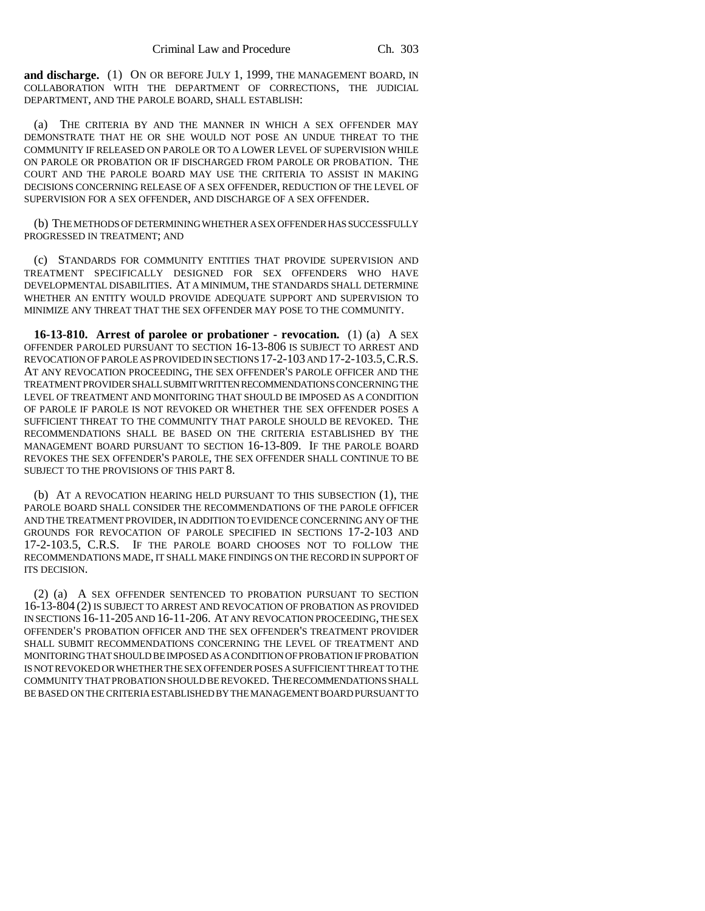**and discharge.** (1) ON OR BEFORE JULY 1, 1999, THE MANAGEMENT BOARD, IN COLLABORATION WITH THE DEPARTMENT OF CORRECTIONS, THE JUDICIAL DEPARTMENT, AND THE PAROLE BOARD, SHALL ESTABLISH:

(a) THE CRITERIA BY AND THE MANNER IN WHICH A SEX OFFENDER MAY DEMONSTRATE THAT HE OR SHE WOULD NOT POSE AN UNDUE THREAT TO THE COMMUNITY IF RELEASED ON PAROLE OR TO A LOWER LEVEL OF SUPERVISION WHILE ON PAROLE OR PROBATION OR IF DISCHARGED FROM PAROLE OR PROBATION. THE COURT AND THE PAROLE BOARD MAY USE THE CRITERIA TO ASSIST IN MAKING DECISIONS CONCERNING RELEASE OF A SEX OFFENDER, REDUCTION OF THE LEVEL OF SUPERVISION FOR A SEX OFFENDER, AND DISCHARGE OF A SEX OFFENDER.

(b) THE METHODS OF DETERMINING WHETHER A SEX OFFENDER HAS SUCCESSFULLY PROGRESSED IN TREATMENT; AND

(c) STANDARDS FOR COMMUNITY ENTITIES THAT PROVIDE SUPERVISION AND TREATMENT SPECIFICALLY DESIGNED FOR SEX OFFENDERS WHO HAVE DEVELOPMENTAL DISABILITIES. AT A MINIMUM, THE STANDARDS SHALL DETERMINE WHETHER AN ENTITY WOULD PROVIDE ADEQUATE SUPPORT AND SUPERVISION TO MINIMIZE ANY THREAT THAT THE SEX OFFENDER MAY POSE TO THE COMMUNITY.

**16-13-810. Arrest of parolee or probationer - revocation.** (1) (a) A SEX OFFENDER PAROLED PURSUANT TO SECTION 16-13-806 IS SUBJECT TO ARREST AND REVOCATION OF PAROLE AS PROVIDED IN SECTIONS 17-2-103 AND 17-2-103.5,C.R.S. AT ANY REVOCATION PROCEEDING, THE SEX OFFENDER'S PAROLE OFFICER AND THE TREATMENT PROVIDER SHALL SUBMIT WRITTEN RECOMMENDATIONS CONCERNING THE LEVEL OF TREATMENT AND MONITORING THAT SHOULD BE IMPOSED AS A CONDITION OF PAROLE IF PAROLE IS NOT REVOKED OR WHETHER THE SEX OFFENDER POSES A SUFFICIENT THREAT TO THE COMMUNITY THAT PAROLE SHOULD BE REVOKED. THE RECOMMENDATIONS SHALL BE BASED ON THE CRITERIA ESTABLISHED BY THE MANAGEMENT BOARD PURSUANT TO SECTION 16-13-809. IF THE PAROLE BOARD REVOKES THE SEX OFFENDER'S PAROLE, THE SEX OFFENDER SHALL CONTINUE TO BE SUBJECT TO THE PROVISIONS OF THIS PART 8.

(b) AT A REVOCATION HEARING HELD PURSUANT TO THIS SUBSECTION (1), THE PAROLE BOARD SHALL CONSIDER THE RECOMMENDATIONS OF THE PAROLE OFFICER AND THE TREATMENT PROVIDER, IN ADDITION TO EVIDENCE CONCERNING ANY OF THE GROUNDS FOR REVOCATION OF PAROLE SPECIFIED IN SECTIONS 17-2-103 AND 17-2-103.5, C.R.S. IF THE PAROLE BOARD CHOOSES NOT TO FOLLOW THE RECOMMENDATIONS MADE, IT SHALL MAKE FINDINGS ON THE RECORD IN SUPPORT OF ITS DECISION.

(2) (a) A SEX OFFENDER SENTENCED TO PROBATION PURSUANT TO SECTION 16-13-804 (2) IS SUBJECT TO ARREST AND REVOCATION OF PROBATION AS PROVIDED IN SECTIONS 16-11-205 AND 16-11-206. AT ANY REVOCATION PROCEEDING, THE SEX OFFENDER'S PROBATION OFFICER AND THE SEX OFFENDER'S TREATMENT PROVIDER SHALL SUBMIT RECOMMENDATIONS CONCERNING THE LEVEL OF TREATMENT AND MONITORING THAT SHOULD BE IMPOSED AS A CONDITION OF PROBATION IF PROBATION IS NOT REVOKED OR WHETHER THE SEX OFFENDER POSES A SUFFICIENT THREAT TO THE COMMUNITY THAT PROBATION SHOULD BE REVOKED. THE RECOMMENDATIONS SHALL BE BASED ON THE CRITERIA ESTABLISHED BY THE MANAGEMENT BOARD PURSUANT TO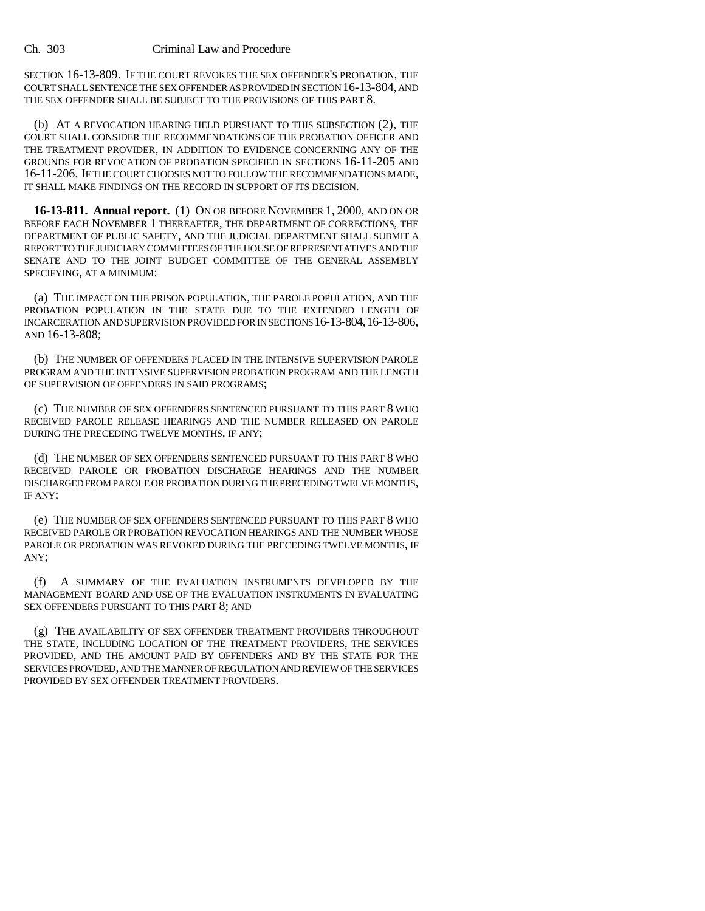SECTION 16-13-809. IF THE COURT REVOKES THE SEX OFFENDER'S PROBATION, THE COURT SHALL SENTENCE THE SEX OFFENDER AS PROVIDED IN SECTION 16-13-804, AND THE SEX OFFENDER SHALL BE SUBJECT TO THE PROVISIONS OF THIS PART 8.

(b) AT A REVOCATION HEARING HELD PURSUANT TO THIS SUBSECTION (2), THE COURT SHALL CONSIDER THE RECOMMENDATIONS OF THE PROBATION OFFICER AND THE TREATMENT PROVIDER, IN ADDITION TO EVIDENCE CONCERNING ANY OF THE GROUNDS FOR REVOCATION OF PROBATION SPECIFIED IN SECTIONS 16-11-205 AND 16-11-206. IF THE COURT CHOOSES NOT TO FOLLOW THE RECOMMENDATIONS MADE, IT SHALL MAKE FINDINGS ON THE RECORD IN SUPPORT OF ITS DECISION.

**16-13-811. Annual report.** (1) ON OR BEFORE NOVEMBER 1, 2000, AND ON OR BEFORE EACH NOVEMBER 1 THEREAFTER, THE DEPARTMENT OF CORRECTIONS, THE DEPARTMENT OF PUBLIC SAFETY, AND THE JUDICIAL DEPARTMENT SHALL SUBMIT A REPORT TO THE JUDICIARY COMMITTEES OF THE HOUSE OF REPRESENTATIVES AND THE SENATE AND TO THE JOINT BUDGET COMMITTEE OF THE GENERAL ASSEMBLY SPECIFYING, AT A MINIMUM:

(a) THE IMPACT ON THE PRISON POPULATION, THE PAROLE POPULATION, AND THE PROBATION POPULATION IN THE STATE DUE TO THE EXTENDED LENGTH OF INCARCERATION AND SUPERVISION PROVIDED FOR IN SECTIONS 16-13-804,16-13-806, AND 16-13-808;

(b) THE NUMBER OF OFFENDERS PLACED IN THE INTENSIVE SUPERVISION PAROLE PROGRAM AND THE INTENSIVE SUPERVISION PROBATION PROGRAM AND THE LENGTH OF SUPERVISION OF OFFENDERS IN SAID PROGRAMS;

(c) THE NUMBER OF SEX OFFENDERS SENTENCED PURSUANT TO THIS PART 8 WHO RECEIVED PAROLE RELEASE HEARINGS AND THE NUMBER RELEASED ON PAROLE DURING THE PRECEDING TWELVE MONTHS, IF ANY;

(d) THE NUMBER OF SEX OFFENDERS SENTENCED PURSUANT TO THIS PART 8 WHO RECEIVED PAROLE OR PROBATION DISCHARGE HEARINGS AND THE NUMBER DISCHARGED FROM PAROLE OR PROBATION DURING THE PRECEDING TWELVE MONTHS, IF ANY;

(e) THE NUMBER OF SEX OFFENDERS SENTENCED PURSUANT TO THIS PART 8 WHO RECEIVED PAROLE OR PROBATION REVOCATION HEARINGS AND THE NUMBER WHOSE PAROLE OR PROBATION WAS REVOKED DURING THE PRECEDING TWELVE MONTHS, IF ANY;

(f) A SUMMARY OF THE EVALUATION INSTRUMENTS DEVELOPED BY THE MANAGEMENT BOARD AND USE OF THE EVALUATION INSTRUMENTS IN EVALUATING SEX OFFENDERS PURSUANT TO THIS PART 8; AND

(g) THE AVAILABILITY OF SEX OFFENDER TREATMENT PROVIDERS THROUGHOUT THE STATE, INCLUDING LOCATION OF THE TREATMENT PROVIDERS, THE SERVICES PROVIDED, AND THE AMOUNT PAID BY OFFENDERS AND BY THE STATE FOR THE SERVICES PROVIDED, AND THE MANNER OF REGULATION AND REVIEW OF THE SERVICES PROVIDED BY SEX OFFENDER TREATMENT PROVIDERS.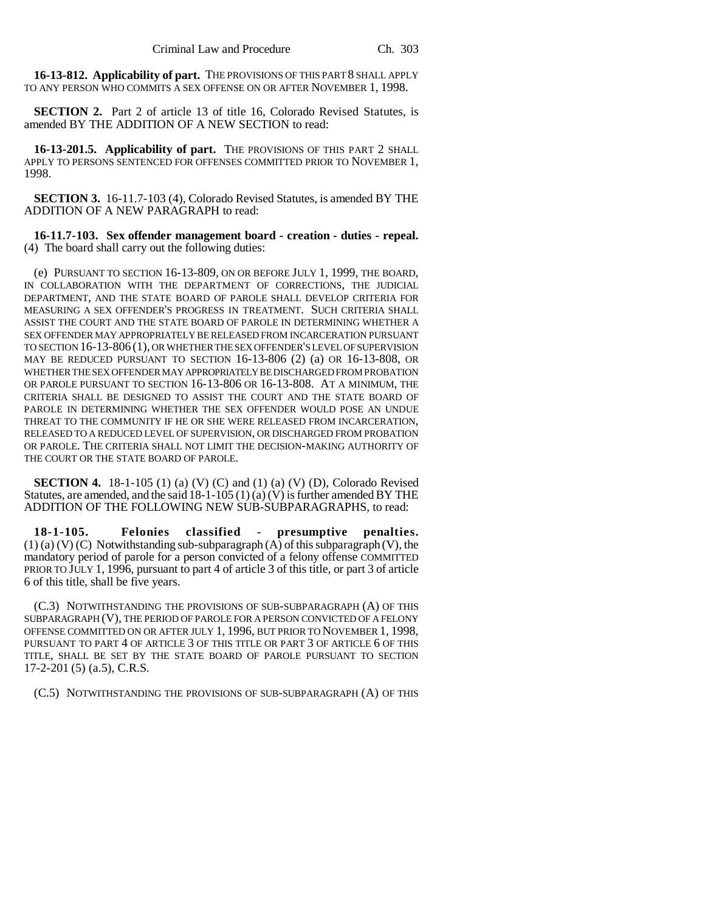**16-13-812. Applicability of part.** THE PROVISIONS OF THIS PART 8 SHALL APPLY TO ANY PERSON WHO COMMITS A SEX OFFENSE ON OR AFTER NOVEMBER 1, 1998.

**SECTION 2.** Part 2 of article 13 of title 16, Colorado Revised Statutes, is amended BY THE ADDITION OF A NEW SECTION to read:

**16-13-201.5. Applicability of part.** THE PROVISIONS OF THIS PART 2 SHALL APPLY TO PERSONS SENTENCED FOR OFFENSES COMMITTED PRIOR TO NOVEMBER 1, 1998.

**SECTION 3.** 16-11.7-103 (4), Colorado Revised Statutes, is amended BY THE ADDITION OF A NEW PARAGRAPH to read:

**16-11.7-103. Sex offender management board - creation - duties - repeal.** (4) The board shall carry out the following duties:

(e) PURSUANT TO SECTION 16-13-809, ON OR BEFORE JULY 1, 1999, THE BOARD, IN COLLABORATION WITH THE DEPARTMENT OF CORRECTIONS, THE JUDICIAL DEPARTMENT, AND THE STATE BOARD OF PAROLE SHALL DEVELOP CRITERIA FOR MEASURING A SEX OFFENDER'S PROGRESS IN TREATMENT. SUCH CRITERIA SHALL ASSIST THE COURT AND THE STATE BOARD OF PAROLE IN DETERMINING WHETHER A SEX OFFENDER MAY APPROPRIATELY BE RELEASED FROM INCARCERATION PURSUANT TO SECTION 16-13-806 (1), OR WHETHER THE SEX OFFENDER'S LEVEL OF SUPERVISION MAY BE REDUCED PURSUANT TO SECTION 16-13-806 (2) (a) OR 16-13-808, OR WHETHER THE SEX OFFENDER MAY APPROPRIATELY BE DISCHARGED FROM PROBATION OR PAROLE PURSUANT TO SECTION 16-13-806 OR 16-13-808. AT A MINIMUM, THE CRITERIA SHALL BE DESIGNED TO ASSIST THE COURT AND THE STATE BOARD OF PAROLE IN DETERMINING WHETHER THE SEX OFFENDER WOULD POSE AN UNDUE THREAT TO THE COMMUNITY IF HE OR SHE WERE RELEASED FROM INCARCERATION, RELEASED TO A REDUCED LEVEL OF SUPERVISION, OR DISCHARGED FROM PROBATION OR PAROLE. THE CRITERIA SHALL NOT LIMIT THE DECISION-MAKING AUTHORITY OF THE COURT OR THE STATE BOARD OF PAROLE.

**SECTION 4.** 18-1-105 (1) (a) (V) (C) and (1) (a) (V) (D), Colorado Revised Statutes, are amended, and the said  $18-1-105(1)(a)(V)$  is further amended BY THE ADDITION OF THE FOLLOWING NEW SUB-SUBPARAGRAPHS, to read:

**18-1-105. Felonies classified - presumptive penalties.**  $(1)$  (a) (V) (C) Notwithstanding sub-subparagraph  $(A)$  of this subparagraph (V), the mandatory period of parole for a person convicted of a felony offense COMMITTED PRIOR TO JULY 1, 1996, pursuant to part 4 of article 3 of this title, or part 3 of article 6 of this title, shall be five years.

(C.3) NOTWITHSTANDING THE PROVISIONS OF SUB-SUBPARAGRAPH (A) OF THIS SUBPARAGRAPH (V), THE PERIOD OF PAROLE FOR A PERSON CONVICTED OF A FELONY OFFENSE COMMITTED ON OR AFTER JULY 1, 1996, BUT PRIOR TO NOVEMBER 1, 1998, PURSUANT TO PART 4 OF ARTICLE 3 OF THIS TITLE OR PART 3 OF ARTICLE 6 OF THIS TITLE, SHALL BE SET BY THE STATE BOARD OF PAROLE PURSUANT TO SECTION 17-2-201 (5) (a.5), C.R.S.

(C.5) NOTWITHSTANDING THE PROVISIONS OF SUB-SUBPARAGRAPH (A) OF THIS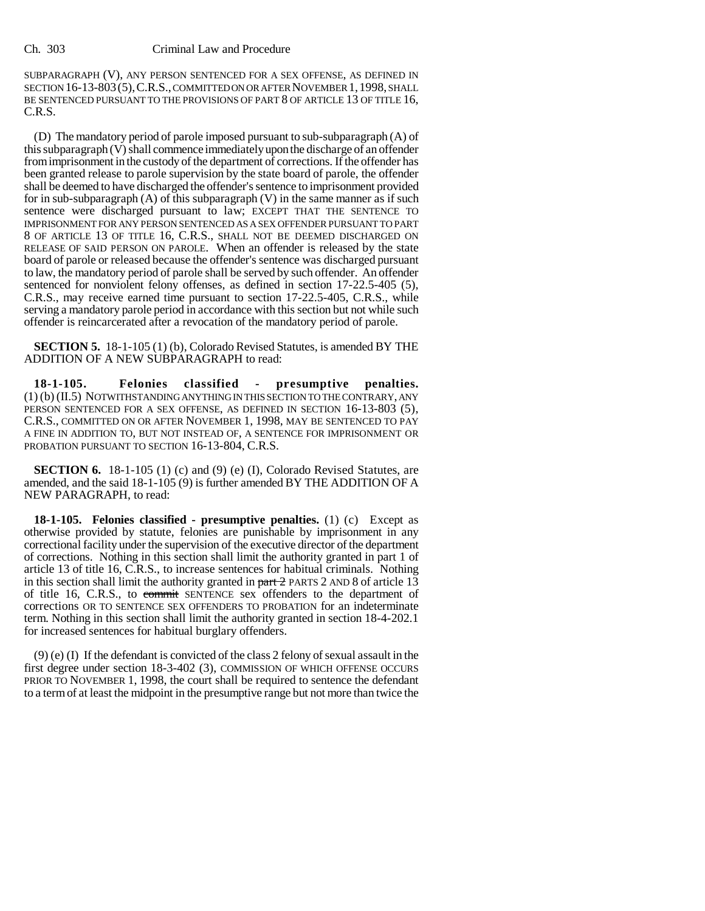SUBPARAGRAPH (V), ANY PERSON SENTENCED FOR A SEX OFFENSE, AS DEFINED IN SECTION 16-13-803(5),C.R.S., COMMITTED ON OR AFTER NOVEMBER 1,1998, SHALL BE SENTENCED PURSUANT TO THE PROVISIONS OF PART 8 OF ARTICLE 13 OF TITLE 16, C.R.S.

(D) The mandatory period of parole imposed pursuant to sub-subparagraph (A) of this subparagraph (V) shall commence immediately upon the discharge of an offender from imprisonment in the custody of the department of corrections. If the offender has been granted release to parole supervision by the state board of parole, the offender shall be deemed to have discharged the offender's sentence to imprisonment provided for in sub-subparagraph (A) of this subparagraph (V) in the same manner as if such sentence were discharged pursuant to law; EXCEPT THAT THE SENTENCE TO IMPRISONMENT FOR ANY PERSON SENTENCED AS A SEX OFFENDER PURSUANT TO PART 8 OF ARTICLE 13 OF TITLE 16, C.R.S., SHALL NOT BE DEEMED DISCHARGED ON RELEASE OF SAID PERSON ON PAROLE. When an offender is released by the state board of parole or released because the offender's sentence was discharged pursuant to law, the mandatory period of parole shall be served by such offender. An offender sentenced for nonviolent felony offenses, as defined in section 17-22.5-405 (5), C.R.S., may receive earned time pursuant to section 17-22.5-405, C.R.S., while serving a mandatory parole period in accordance with this section but not while such offender is reincarcerated after a revocation of the mandatory period of parole.

**SECTION 5.** 18-1-105 (1) (b), Colorado Revised Statutes, is amended BY THE ADDITION OF A NEW SUBPARAGRAPH to read:

**18-1-105. Felonies classified - presumptive penalties.** (1) (b) (II.5) NOTWITHSTANDING ANYTHING IN THIS SECTION TO THE CONTRARY, ANY PERSON SENTENCED FOR A SEX OFFENSE, AS DEFINED IN SECTION 16-13-803 (5), C.R.S., COMMITTED ON OR AFTER NOVEMBER 1, 1998, MAY BE SENTENCED TO PAY A FINE IN ADDITION TO, BUT NOT INSTEAD OF, A SENTENCE FOR IMPRISONMENT OR PROBATION PURSUANT TO SECTION 16-13-804, C.R.S.

**SECTION 6.** 18-1-105 (1) (c) and (9) (e) (I), Colorado Revised Statutes, are amended, and the said 18-1-105 (9) is further amended BY THE ADDITION OF A NEW PARAGRAPH, to read:

**18-1-105. Felonies classified - presumptive penalties.** (1) (c) Except as otherwise provided by statute, felonies are punishable by imprisonment in any correctional facility under the supervision of the executive director of the department of corrections. Nothing in this section shall limit the authority granted in part 1 of article 13 of title 16, C.R.S., to increase sentences for habitual criminals. Nothing in this section shall limit the authority granted in  $part 2$  PARTS 2 AND 8 of article 13 of title 16, C.R.S., to commit SENTENCE sex offenders to the department of corrections OR TO SENTENCE SEX OFFENDERS TO PROBATION for an indeterminate term. Nothing in this section shall limit the authority granted in section 18-4-202.1 for increased sentences for habitual burglary offenders.

 $(9)$  (e) (I) If the defendant is convicted of the class 2 felony of sexual assault in the first degree under section 18-3-402 (3), COMMISSION OF WHICH OFFENSE OCCURS PRIOR TO NOVEMBER 1, 1998, the court shall be required to sentence the defendant to a term of at least the midpoint in the presumptive range but not more than twice the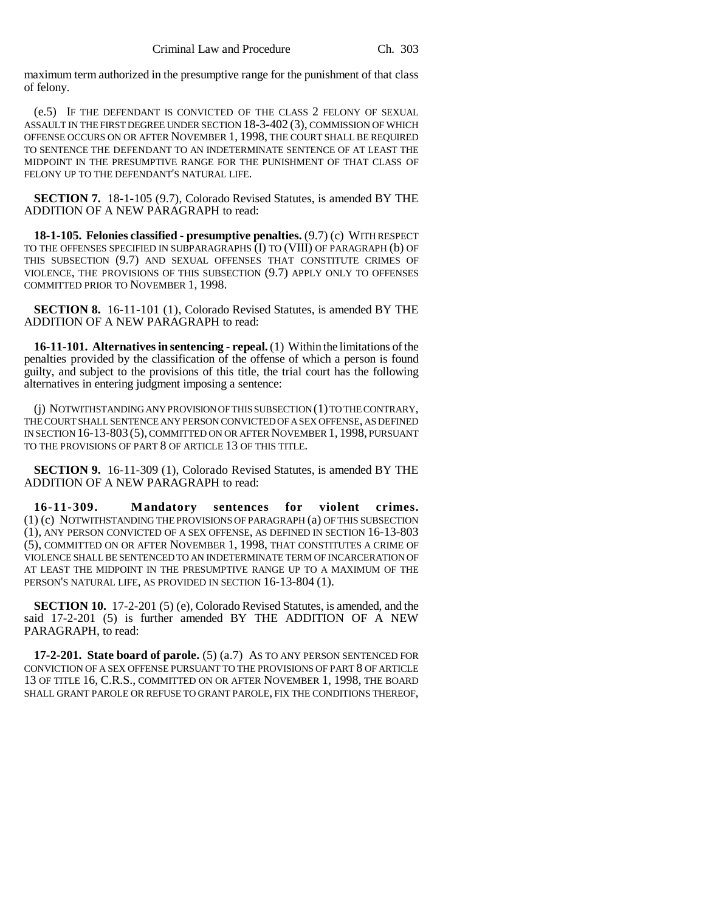maximum term authorized in the presumptive range for the punishment of that class of felony.

(e.5) IF THE DEFENDANT IS CONVICTED OF THE CLASS 2 FELONY OF SEXUAL ASSAULT IN THE FIRST DEGREE UNDER SECTION 18-3-402 (3), COMMISSION OF WHICH OFFENSE OCCURS ON OR AFTER NOVEMBER 1, 1998, THE COURT SHALL BE REQUIRED TO SENTENCE THE DEFENDANT TO AN INDETERMINATE SENTENCE OF AT LEAST THE MIDPOINT IN THE PRESUMPTIVE RANGE FOR THE PUNISHMENT OF THAT CLASS OF FELONY UP TO THE DEFENDANT'S NATURAL LIFE.

**SECTION 7.** 18-1-105 (9.7), Colorado Revised Statutes, is amended BY THE ADDITION OF A NEW PARAGRAPH to read:

**18-1-105. Felonies classified - presumptive penalties.** (9.7) (c) WITH RESPECT TO THE OFFENSES SPECIFIED IN SUBPARAGRAPHS (I) TO (VIII) OF PARAGRAPH (b) OF THIS SUBSECTION (9.7) AND SEXUAL OFFENSES THAT CONSTITUTE CRIMES OF VIOLENCE, THE PROVISIONS OF THIS SUBSECTION (9.7) APPLY ONLY TO OFFENSES COMMITTED PRIOR TO NOVEMBER 1, 1998.

**SECTION 8.** 16-11-101 (1), Colorado Revised Statutes, is amended BY THE ADDITION OF A NEW PARAGRAPH to read:

**16-11-101. Alternatives in sentencing - repeal.** (1) Within the limitations of the penalties provided by the classification of the offense of which a person is found guilty, and subject to the provisions of this title, the trial court has the following alternatives in entering judgment imposing a sentence:

(j) NOTWITHSTANDING ANY PROVISION OF THIS SUBSECTION (1) TO THE CONTRARY, THE COURT SHALL SENTENCE ANY PERSON CONVICTED OF A SEX OFFENSE, AS DEFINED IN SECTION 16-13-803 (5), COMMITTED ON OR AFTER NOVEMBER 1, 1998, PURSUANT TO THE PROVISIONS OF PART 8 OF ARTICLE 13 OF THIS TITLE.

**SECTION 9.** 16-11-309 (1), Colorado Revised Statutes, is amended BY THE ADDITION OF A NEW PARAGRAPH to read:

**16-11-309. Mandatory sentences for violent crimes.** (1) (c) NOTWITHSTANDING THE PROVISIONS OF PARAGRAPH (a) OF THIS SUBSECTION (1), ANY PERSON CONVICTED OF A SEX OFFENSE, AS DEFINED IN SECTION 16-13-803 (5), COMMITTED ON OR AFTER NOVEMBER 1, 1998, THAT CONSTITUTES A CRIME OF VIOLENCE SHALL BE SENTENCED TO AN INDETERMINATE TERM OF INCARCERATION OF AT LEAST THE MIDPOINT IN THE PRESUMPTIVE RANGE UP TO A MAXIMUM OF THE PERSON'S NATURAL LIFE, AS PROVIDED IN SECTION 16-13-804 (1).

**SECTION 10.** 17-2-201 (5) (e), Colorado Revised Statutes, is amended, and the said 17-2-201 (5) is further amended BY THE ADDITION OF A NEW PARAGRAPH, to read:

**17-2-201. State board of parole.** (5) (a.7) AS TO ANY PERSON SENTENCED FOR CONVICTION OF A SEX OFFENSE PURSUANT TO THE PROVISIONS OF PART 8 OF ARTICLE 13 OF TITLE 16, C.R.S., COMMITTED ON OR AFTER NOVEMBER 1, 1998, THE BOARD SHALL GRANT PAROLE OR REFUSE TO GRANT PAROLE, FIX THE CONDITIONS THEREOF,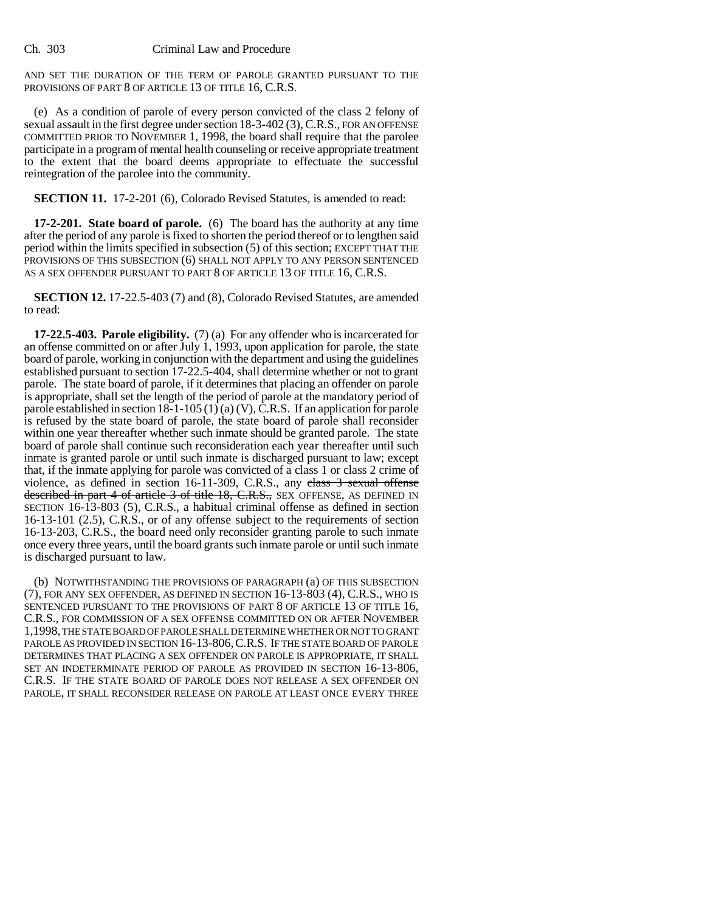AND SET THE DURATION OF THE TERM OF PAROLE GRANTED PURSUANT TO THE PROVISIONS OF PART 8 OF ARTICLE 13 OF TITLE 16, C.R.S.

(e) As a condition of parole of every person convicted of the class 2 felony of sexual assault in the first degree under section 18-3-402 (3), C.R.S., FOR AN OFFENSE COMMITTED PRIOR TO NOVEMBER 1, 1998, the board shall require that the parolee participate in a program of mental health counseling or receive appropriate treatment to the extent that the board deems appropriate to effectuate the successful reintegration of the parolee into the community.

**SECTION 11.** 17-2-201 (6), Colorado Revised Statutes, is amended to read:

**17-2-201. State board of parole.** (6) The board has the authority at any time after the period of any parole is fixed to shorten the period thereof or to lengthen said period within the limits specified in subsection (5) of this section; EXCEPT THAT THE PROVISIONS OF THIS SUBSECTION (6) SHALL NOT APPLY TO ANY PERSON SENTENCED AS A SEX OFFENDER PURSUANT TO PART 8 OF ARTICLE 13 OF TITLE 16, C.R.S.

**SECTION 12.** 17-22.5-403 (7) and (8), Colorado Revised Statutes, are amended to read:

**17-22.5-403. Parole eligibility.** (7) (a) For any offender who is incarcerated for an offense committed on or after July 1, 1993, upon application for parole, the state board of parole, working in conjunction with the department and using the guidelines established pursuant to section 17-22.5-404, shall determine whether or not to grant parole. The state board of parole, if it determines that placing an offender on parole is appropriate, shall set the length of the period of parole at the mandatory period of parole established in section  $18-1-105(1)(a)(V)$ , C.R.S. If an application for parole is refused by the state board of parole, the state board of parole shall reconsider within one year thereafter whether such inmate should be granted parole. The state board of parole shall continue such reconsideration each year thereafter until such inmate is granted parole or until such inmate is discharged pursuant to law; except that, if the inmate applying for parole was convicted of a class 1 or class 2 crime of violence, as defined in section 16-11-309, C.R.S., any class 3 sexual offense described in part 4 of article 3 of title 18, C.R.S., SEX OFFENSE, AS DEFINED IN SECTION 16-13-803 (5), C.R.S., a habitual criminal offense as defined in section 16-13-101 (2.5), C.R.S., or of any offense subject to the requirements of section 16-13-203, C.R.S., the board need only reconsider granting parole to such inmate once every three years, until the board grants such inmate parole or until such inmate is discharged pursuant to law.

(b) NOTWITHSTANDING THE PROVISIONS OF PARAGRAPH (a) OF THIS SUBSECTION (7), FOR ANY SEX OFFENDER, AS DEFINED IN SECTION 16-13-803 (4), C.R.S., WHO IS SENTENCED PURSUANT TO THE PROVISIONS OF PART 8 OF ARTICLE 13 OF TITLE 16, C.R.S., FOR COMMISSION OF A SEX OFFENSE COMMITTED ON OR AFTER NOVEMBER 1,1998, THE STATE BOARD OF PAROLE SHALL DETERMINE WHETHER OR NOT TO GRANT PAROLE AS PROVIDED IN SECTION 16-13-806,C.R.S. IF THE STATE BOARD OF PAROLE DETERMINES THAT PLACING A SEX OFFENDER ON PAROLE IS APPROPRIATE, IT SHALL SET AN INDETERMINATE PERIOD OF PAROLE AS PROVIDED IN SECTION 16-13-806, C.R.S. IF THE STATE BOARD OF PAROLE DOES NOT RELEASE A SEX OFFENDER ON PAROLE, IT SHALL RECONSIDER RELEASE ON PAROLE AT LEAST ONCE EVERY THREE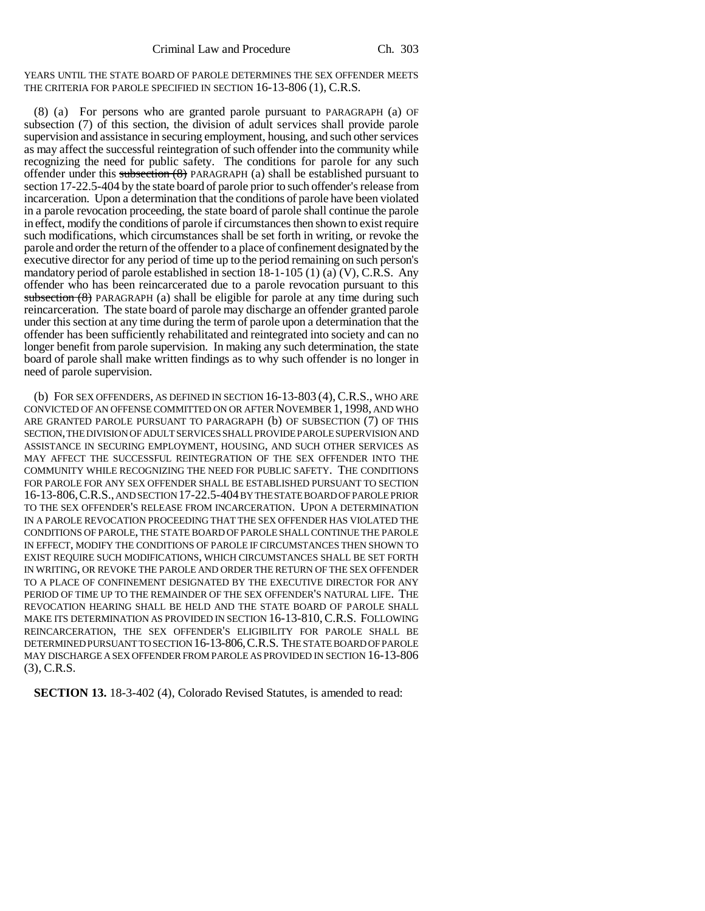YEARS UNTIL THE STATE BOARD OF PAROLE DETERMINES THE SEX OFFENDER MEETS THE CRITERIA FOR PAROLE SPECIFIED IN SECTION 16-13-806 (1), C.R.S.

(8) (a) For persons who are granted parole pursuant to PARAGRAPH (a) OF subsection (7) of this section, the division of adult services shall provide parole supervision and assistance in securing employment, housing, and such other services as may affect the successful reintegration of such offender into the community while recognizing the need for public safety. The conditions for parole for any such offender under this subsection  $(8)$  PARAGRAPH (a) shall be established pursuant to section 17-22.5-404 by the state board of parole prior to such offender's release from incarceration. Upon a determination that the conditions of parole have been violated in a parole revocation proceeding, the state board of parole shall continue the parole in effect, modify the conditions of parole if circumstances then shown to exist require such modifications, which circumstances shall be set forth in writing, or revoke the parole and order the return of the offender to a place of confinement designated by the executive director for any period of time up to the period remaining on such person's mandatory period of parole established in section 18-1-105 (1) (a) (V), C.R.S. Any offender who has been reincarcerated due to a parole revocation pursuant to this subsection  $(8)$  PARAGRAPH (a) shall be eligible for parole at any time during such reincarceration. The state board of parole may discharge an offender granted parole under this section at any time during the term of parole upon a determination that the offender has been sufficiently rehabilitated and reintegrated into society and can no longer benefit from parole supervision. In making any such determination, the state board of parole shall make written findings as to why such offender is no longer in need of parole supervision.

(b) FOR SEX OFFENDERS, AS DEFINED IN SECTION 16-13-803 (4),C.R.S., WHO ARE CONVICTED OF AN OFFENSE COMMITTED ON OR AFTER NOVEMBER 1, 1998, AND WHO ARE GRANTED PAROLE PURSUANT TO PARAGRAPH (b) OF SUBSECTION (7) OF THIS SECTION, THE DIVISION OF ADULT SERVICES SHALL PROVIDE PAROLE SUPERVISION AND ASSISTANCE IN SECURING EMPLOYMENT, HOUSING, AND SUCH OTHER SERVICES AS MAY AFFECT THE SUCCESSFUL REINTEGRATION OF THE SEX OFFENDER INTO THE COMMUNITY WHILE RECOGNIZING THE NEED FOR PUBLIC SAFETY. THE CONDITIONS FOR PAROLE FOR ANY SEX OFFENDER SHALL BE ESTABLISHED PURSUANT TO SECTION 16-13-806,C.R.S., AND SECTION 17-22.5-404 BY THE STATE BOARD OF PAROLE PRIOR TO THE SEX OFFENDER'S RELEASE FROM INCARCERATION. UPON A DETERMINATION IN A PAROLE REVOCATION PROCEEDING THAT THE SEX OFFENDER HAS VIOLATED THE CONDITIONS OF PAROLE, THE STATE BOARD OF PAROLE SHALL CONTINUE THE PAROLE IN EFFECT, MODIFY THE CONDITIONS OF PAROLE IF CIRCUMSTANCES THEN SHOWN TO EXIST REQUIRE SUCH MODIFICATIONS, WHICH CIRCUMSTANCES SHALL BE SET FORTH IN WRITING, OR REVOKE THE PAROLE AND ORDER THE RETURN OF THE SEX OFFENDER TO A PLACE OF CONFINEMENT DESIGNATED BY THE EXECUTIVE DIRECTOR FOR ANY PERIOD OF TIME UP TO THE REMAINDER OF THE SEX OFFENDER'S NATURAL LIFE. THE REVOCATION HEARING SHALL BE HELD AND THE STATE BOARD OF PAROLE SHALL MAKE ITS DETERMINATION AS PROVIDED IN SECTION 16-13-810, C.R.S. FOLLOWING REINCARCERATION, THE SEX OFFENDER'S ELIGIBILITY FOR PAROLE SHALL BE DETERMINED PURSUANT TO SECTION 16-13-806,C.R.S. THE STATE BOARD OF PAROLE MAY DISCHARGE A SEX OFFENDER FROM PAROLE AS PROVIDED IN SECTION 16-13-806 (3), C.R.S.

**SECTION 13.** 18-3-402 (4), Colorado Revised Statutes, is amended to read: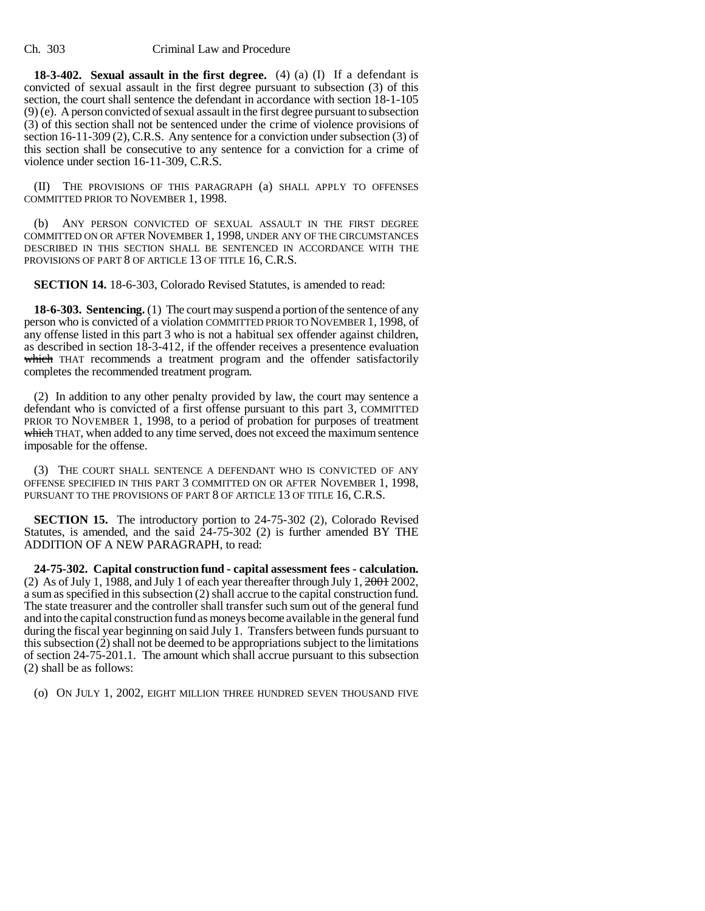**18-3-402. Sexual assault in the first degree.** (4) (a) (I) If a defendant is convicted of sexual assault in the first degree pursuant to subsection (3) of this section, the court shall sentence the defendant in accordance with section 18-1-105 (9) (e). A person convicted of sexual assault in the first degree pursuant to subsection (3) of this section shall not be sentenced under the crime of violence provisions of section 16-11-309 (2), C.R.S. Any sentence for a conviction under subsection (3) of this section shall be consecutive to any sentence for a conviction for a crime of violence under section 16-11-309, C.R.S.

(II) THE PROVISIONS OF THIS PARAGRAPH (a) SHALL APPLY TO OFFENSES COMMITTED PRIOR TO NOVEMBER 1, 1998.

(b) ANY PERSON CONVICTED OF SEXUAL ASSAULT IN THE FIRST DEGREE COMMITTED ON OR AFTER NOVEMBER 1, 1998, UNDER ANY OF THE CIRCUMSTANCES DESCRIBED IN THIS SECTION SHALL BE SENTENCED IN ACCORDANCE WITH THE PROVISIONS OF PART 8 OF ARTICLE 13 OF TITLE 16, C.R.S.

**SECTION 14.** 18-6-303, Colorado Revised Statutes, is amended to read:

**18-6-303. Sentencing.** (1) The court may suspend a portion of the sentence of any person who is convicted of a violation COMMITTED PRIOR TO NOVEMBER 1, 1998, of any offense listed in this part 3 who is not a habitual sex offender against children, as described in section 18-3-412, if the offender receives a presentence evaluation which THAT recommends a treatment program and the offender satisfactorily completes the recommended treatment program.

(2) In addition to any other penalty provided by law, the court may sentence a defendant who is convicted of a first offense pursuant to this part 3, COMMITTED PRIOR TO NOVEMBER 1, 1998, to a period of probation for purposes of treatment which THAT, when added to any time served, does not exceed the maximum sentence imposable for the offense.

(3) THE COURT SHALL SENTENCE A DEFENDANT WHO IS CONVICTED OF ANY OFFENSE SPECIFIED IN THIS PART 3 COMMITTED ON OR AFTER NOVEMBER 1, 1998, PURSUANT TO THE PROVISIONS OF PART 8 OF ARTICLE 13 OF TITLE 16, C.R.S.

**SECTION 15.** The introductory portion to 24-75-302 (2), Colorado Revised Statutes, is amended, and the said  $24-75-302$  (2) is further amended BY THE ADDITION OF A NEW PARAGRAPH, to read:

**24-75-302. Capital construction fund - capital assessment fees - calculation.** (2) As of July 1, 1988, and July 1 of each year thereafter through July 1,  $2001$  2002, a sum as specified in this subsection (2) shall accrue to the capital construction fund. The state treasurer and the controller shall transfer such sum out of the general fund and into the capital construction fund as moneys become available in the general fund during the fiscal year beginning on said July 1. Transfers between funds pursuant to this subsection (2) shall not be deemed to be appropriations subject to the limitations of section 24-75-201.1. The amount which shall accrue pursuant to this subsection (2) shall be as follows:

(o) ON JULY 1, 2002, EIGHT MILLION THREE HUNDRED SEVEN THOUSAND FIVE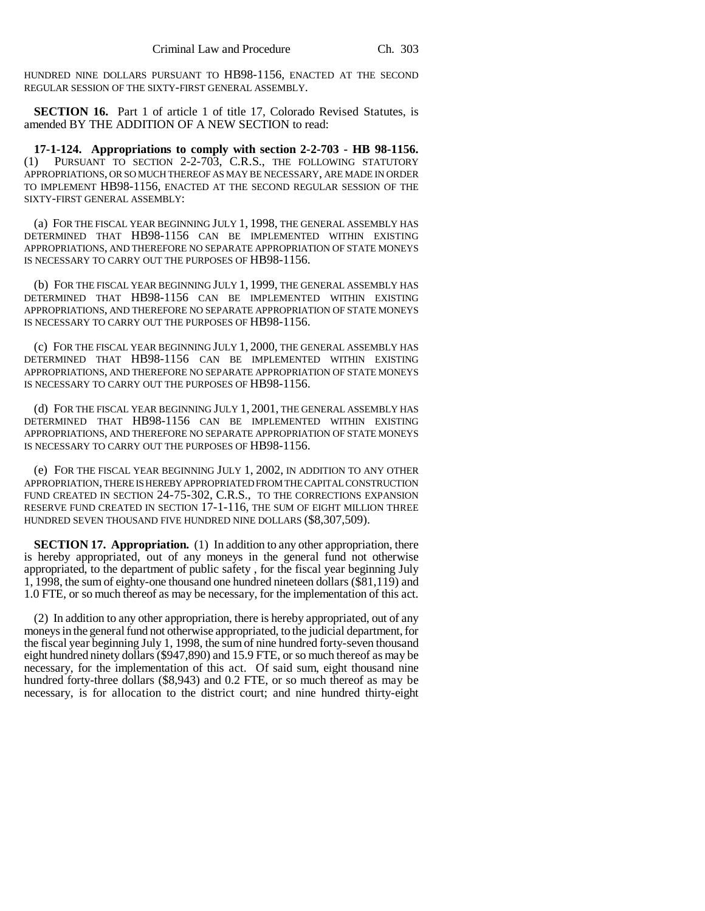HUNDRED NINE DOLLARS PURSUANT TO HB98-1156, ENACTED AT THE SECOND REGULAR SESSION OF THE SIXTY-FIRST GENERAL ASSEMBLY.

**SECTION 16.** Part 1 of article 1 of title 17, Colorado Revised Statutes, is amended BY THE ADDITION OF A NEW SECTION to read:

**17-1-124. Appropriations to comply with section 2-2-703 - HB 98-1156.** (1) PURSUANT TO SECTION 2-2-703, C.R.S., THE FOLLOWING STATUTORY APPROPRIATIONS, OR SO MUCH THEREOF AS MAY BE NECESSARY, ARE MADE IN ORDER TO IMPLEMENT HB98-1156, ENACTED AT THE SECOND REGULAR SESSION OF THE SIXTY-FIRST GENERAL ASSEMBLY:

(a) FOR THE FISCAL YEAR BEGINNING JULY 1, 1998, THE GENERAL ASSEMBLY HAS DETERMINED THAT HB98-1156 CAN BE IMPLEMENTED WITHIN EXISTING APPROPRIATIONS, AND THEREFORE NO SEPARATE APPROPRIATION OF STATE MONEYS IS NECESSARY TO CARRY OUT THE PURPOSES OF HB98-1156.

(b) FOR THE FISCAL YEAR BEGINNING JULY 1, 1999, THE GENERAL ASSEMBLY HAS DETERMINED THAT HB98-1156 CAN BE IMPLEMENTED WITHIN EXISTING APPROPRIATIONS, AND THEREFORE NO SEPARATE APPROPRIATION OF STATE MONEYS IS NECESSARY TO CARRY OUT THE PURPOSES OF HB98-1156.

(c) FOR THE FISCAL YEAR BEGINNING JULY 1, 2000, THE GENERAL ASSEMBLY HAS DETERMINED THAT HB98-1156 CAN BE IMPLEMENTED WITHIN EXISTING APPROPRIATIONS, AND THEREFORE NO SEPARATE APPROPRIATION OF STATE MONEYS IS NECESSARY TO CARRY OUT THE PURPOSES OF HB98-1156.

(d) FOR THE FISCAL YEAR BEGINNING JULY 1, 2001, THE GENERAL ASSEMBLY HAS DETERMINED THAT HB98-1156 CAN BE IMPLEMENTED WITHIN EXISTING APPROPRIATIONS, AND THEREFORE NO SEPARATE APPROPRIATION OF STATE MONEYS IS NECESSARY TO CARRY OUT THE PURPOSES OF HB98-1156.

(e) FOR THE FISCAL YEAR BEGINNING JULY 1, 2002, IN ADDITION TO ANY OTHER APPROPRIATION, THERE IS HEREBY APPROPRIATED FROM THE CAPITAL CONSTRUCTION FUND CREATED IN SECTION 24-75-302, C.R.S., TO THE CORRECTIONS EXPANSION RESERVE FUND CREATED IN SECTION 17-1-116, THE SUM OF EIGHT MILLION THREE HUNDRED SEVEN THOUSAND FIVE HUNDRED NINE DOLLARS (\$8,307,509).

**SECTION 17. Appropriation.** (1) In addition to any other appropriation, there is hereby appropriated, out of any moneys in the general fund not otherwise appropriated, to the department of public safety , for the fiscal year beginning July 1, 1998, the sum of eighty-one thousand one hundred nineteen dollars (\$81,119) and 1.0 FTE, or so much thereof as may be necessary, for the implementation of this act.

(2) In addition to any other appropriation, there is hereby appropriated, out of any moneys in the general fund not otherwise appropriated, to the judicial department, for the fiscal year beginning July 1, 1998, the sum of nine hundred forty-seven thousand eight hundred ninety dollars (\$947,890) and 15.9 FTE, or so much thereof as may be necessary, for the implementation of this act. Of said sum, eight thousand nine hundred forty-three dollars (\$8,943) and 0.2 FTE, or so much thereof as may be necessary, is for allocation to the district court; and nine hundred thirty-eight